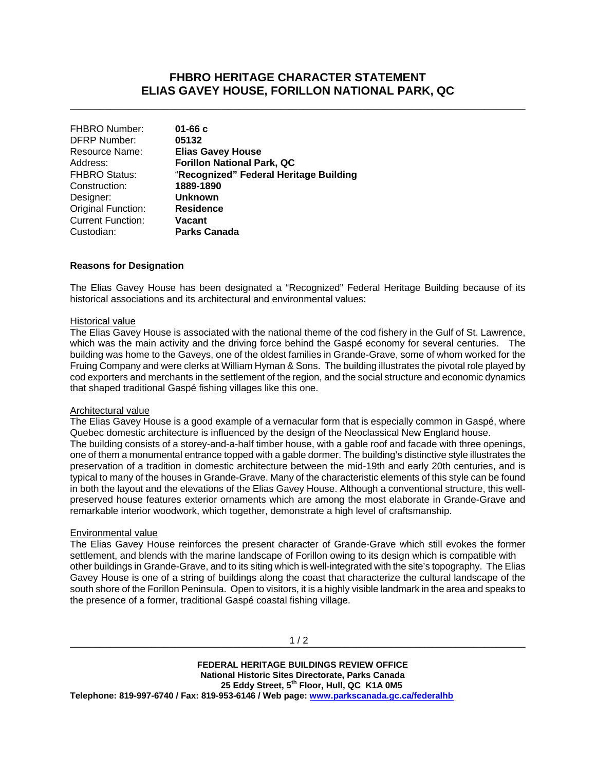# **FHBRO HERITAGE CHARACTER STATEMENT ELIAS GAVEY HOUSE, FORILLON NATIONAL PARK, QC**

\_\_\_\_\_\_\_\_\_\_\_\_\_\_\_\_\_\_\_\_\_\_\_\_\_\_\_\_\_\_\_\_\_\_\_\_\_\_\_\_\_\_\_\_\_\_\_\_\_\_\_\_\_\_\_\_\_\_\_\_\_\_\_\_\_\_\_\_\_\_\_\_\_\_\_\_\_\_

| $01 - 66c$                             |
|----------------------------------------|
| 05132                                  |
| <b>Elias Gavey House</b>               |
| <b>Forillon National Park, QC</b>      |
| "Recognized" Federal Heritage Building |
| 1889-1890                              |
| <b>Unknown</b>                         |
| <b>Residence</b>                       |
| Vacant                                 |
| <b>Parks Canada</b>                    |
|                                        |

### **Reasons for Designation**

The Elias Gavey House has been designated a "Recognized" Federal Heritage Building because of its historical associations and its architectural and environmental values:

#### Historical value

The Elias Gavey House is associated with the national theme of the cod fishery in the Gulf of St. Lawrence, which was the main activity and the driving force behind the Gaspé economy for several centuries. The building was home to the Gaveys, one of the oldest families in Grande-Grave, some of whom worked for the Fruing Company and were clerks at William Hyman & Sons. The building illustrates the pivotal role played by cod exporters and merchants in the settlement of the region, and the social structure and economic dynamics that shaped traditional Gaspé fishing villages like this one.

#### Architectural value

The Elias Gavey House is a good example of a vernacular form that is especially common in Gaspé, where Quebec domestic architecture is influenced by the design of the Neoclassical New England house.

The building consists of a storey-and-a-half timber house, with a gable roof and facade with three openings, one of them a monumental entrance topped with a gable dormer. The building's distinctive style illustrates the preservation of a tradition in domestic architecture between the mid-19th and early 20th centuries, and is typical to many of the houses in Grande-Grave. Many of the characteristic elements of this style can be found in both the layout and the elevations of the Elias Gavey House. Although a conventional structure, this wellpreserved house features exterior ornaments which are among the most elaborate in Grande-Grave and remarkable interior woodwork, which together, demonstrate a high level of craftsmanship.

#### Environmental value

The Elias Gavey House reinforces the present character of Grande-Grave which still evokes the former settlement, and blends with the marine landscape of Forillon owing to its design which is compatible with other buildings in Grande-Grave, and to its siting which is well-integrated with the site's topography. The Elias Gavey House is one of a string of buildings along the coast that characterize the cultural landscape of the south shore of the Forillon Peninsula. Open to visitors, it is a highly visible landmark in the area and speaks to the presence of a former, traditional Gaspé coastal fishing village.

 **FEDERAL HERITAGE BUILDINGS REVIEW OFFICE National Historic Sites Directorate, Parks Canada 25 Eddy Street, 5th Floor, Hull, QC K1A 0M5 Telephone: 819-997-6740 / Fax: 819-953-6146 / Web page: www.parkscanada.gc.ca/federalhb**